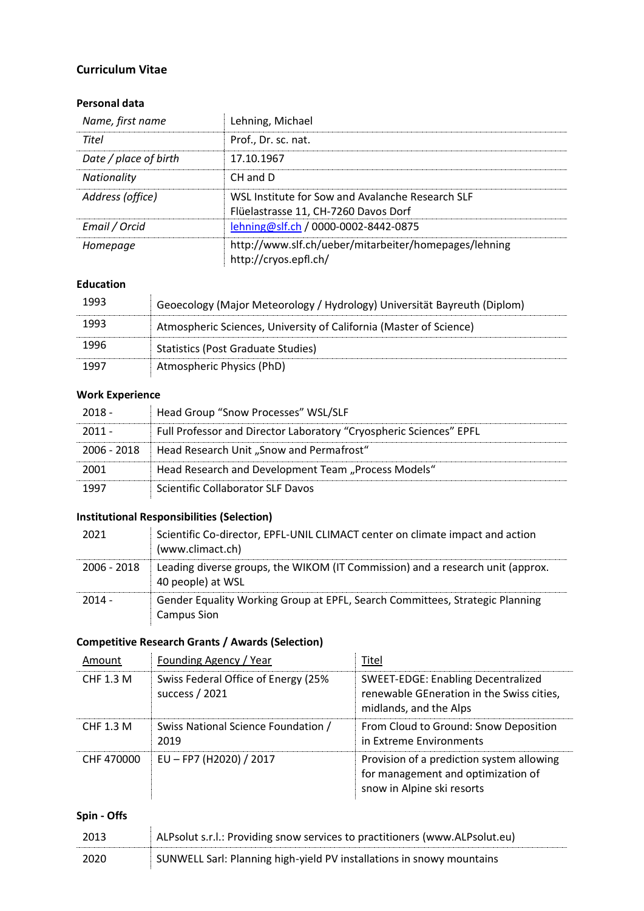## **Curriculum Vitae**

## **Personal data**

| Name, first name      | Lehning, Michael                                                                         |
|-----------------------|------------------------------------------------------------------------------------------|
| Titel                 | Prof., Dr. sc. nat.                                                                      |
| Date / place of birth | 17.10.1967                                                                               |
| <b>Nationality</b>    | CH and D                                                                                 |
| Address (office)      | WSL Institute for Sow and Avalanche Research SLF<br>Flüelastrasse 11, CH-7260 Davos Dorf |
| Email / Orcid         | lehning@slf.ch / 0000-0002-8442-0875                                                     |
| Homepage              | http://www.slf.ch/ueber/mitarbeiter/homepages/lehning<br>http://cryos.epfl.ch/           |

# **Education**

| 1993 | Geoecology (Major Meteorology / Hydrology) Universität Bayreuth (Diplom) |
|------|--------------------------------------------------------------------------|
| 1993 | Atmospheric Sciences, University of California (Master of Science)       |
| 1996 | <b>Statistics (Post Graduate Studies)</b>                                |
|      | Atmospheric Physics (PhD)                                                |

## **Work Experience**

| - 2018 -    | Head Group "Snow Processes" WSL/SLF                                |
|-------------|--------------------------------------------------------------------|
| $2011 -$    | Full Professor and Director Laboratory "Cryospheric Sciences" EPFL |
| 2006 - 2018 | Head Research Unit "Snow and Permafrost"                           |
| 2001        | Head Research and Development Team "Process Models"                |
|             | Scientific Collaborator SLF Davos                                  |

# **Institutional Responsibilities (Selection)**

| 2021          | Scientific Co-director, EPFL-UNIL CLIMACT center on climate impact and action<br>(www.climact.ch)   |
|---------------|-----------------------------------------------------------------------------------------------------|
| $2006 - 2018$ | Leading diverse groups, the WIKOM (IT Commission) and a research unit (approx.<br>40 people) at WSL |
| $2014 -$      | Gender Equality Working Group at EPFL, Search Committees, Strategic Planning<br><b>Campus Sion</b>  |

## **Competitive Research Grants / Awards (Selection)**

| Amount           | Founding Agency / Year                                | Titel                                                                                                            |
|------------------|-------------------------------------------------------|------------------------------------------------------------------------------------------------------------------|
| <b>CHF 1.3 M</b> | Swiss Federal Office of Energy (25%<br>success / 2021 | <b>SWEET-EDGE: Enabling Decentralized</b><br>renewable GEneration in the Swiss cities,<br>midlands, and the Alps |
| CHF 1.3 M        | Swiss National Science Foundation /<br>2019           | From Cloud to Ground: Snow Deposition<br>in Extreme Environments                                                 |
| CHF 470000       | EU - FP7 (H2020) / 2017                               | Provision of a prediction system allowing<br>for management and optimization of<br>snow in Alpine ski resorts    |

# **Spin - Offs**

| 2013 | ALPsolut s.r.l.: Providing snow services to practitioners (www.ALPsolut.eu) |
|------|-----------------------------------------------------------------------------|
| 2020 | SUNWELL Sarl: Planning high-yield PV installations in snowy mountains       |